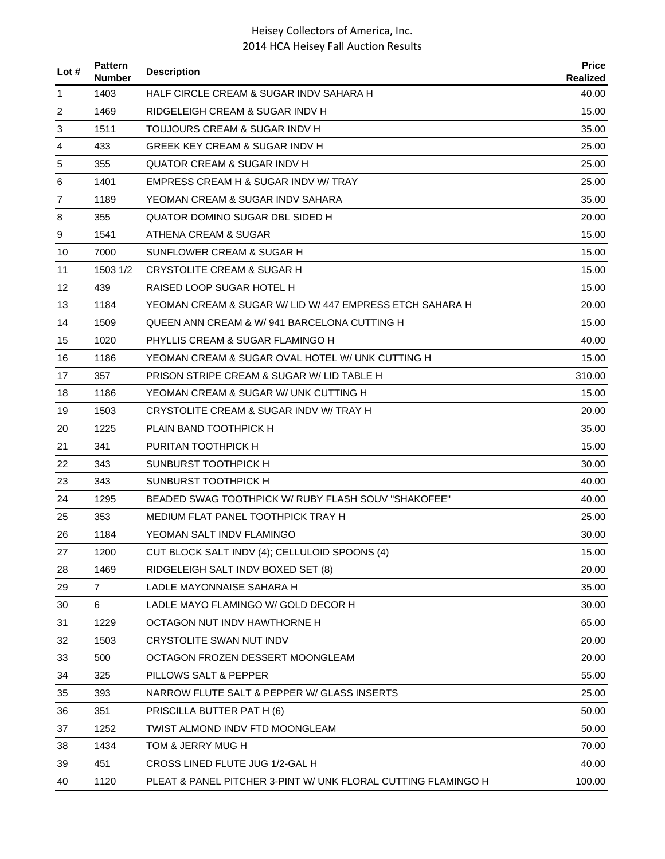| Lot $#$        | <b>Pattern</b><br><b>Number</b> | <b>Description</b>                                            | <b>Price</b><br><b>Realized</b> |
|----------------|---------------------------------|---------------------------------------------------------------|---------------------------------|
| 1              | 1403                            | HALF CIRCLE CREAM & SUGAR INDV SAHARA H                       | 40.00                           |
| $\overline{c}$ | 1469                            | RIDGELEIGH CREAM & SUGAR INDV H                               | 15.00                           |
| 3              | 1511                            | TOUJOURS CREAM & SUGAR INDV H                                 | 35.00                           |
| 4              | 433                             | GREEK KEY CREAM & SUGAR INDV H                                | 25.00                           |
| 5              | 355                             | QUATOR CREAM & SUGAR INDV H                                   | 25.00                           |
| 6              | 1401                            | EMPRESS CREAM H & SUGAR INDV W/ TRAY                          | 25.00                           |
| 7              | 1189                            | YEOMAN CREAM & SUGAR INDV SAHARA                              | 35.00                           |
| 8              | 355                             | QUATOR DOMINO SUGAR DBL SIDED H                               | 20.00                           |
| 9              | 1541                            | ATHENA CREAM & SUGAR                                          | 15.00                           |
| 10             | 7000                            | SUNFLOWER CREAM & SUGAR H                                     | 15.00                           |
| 11             | 1503 1/2                        | CRYSTOLITE CREAM & SUGAR H                                    | 15.00                           |
| 12             | 439                             | RAISED LOOP SUGAR HOTEL H                                     | 15.00                           |
| 13             | 1184                            | YEOMAN CREAM & SUGAR W/ LID W/ 447 EMPRESS ETCH SAHARA H      | 20.00                           |
| 14             | 1509                            | QUEEN ANN CREAM & W/941 BARCELONA CUTTING H                   | 15.00                           |
| 15             | 1020                            | PHYLLIS CREAM & SUGAR FLAMINGO H                              | 40.00                           |
| 16             | 1186                            | YEOMAN CREAM & SUGAR OVAL HOTEL W/ UNK CUTTING H              | 15.00                           |
| 17             | 357                             | PRISON STRIPE CREAM & SUGAR W/ LID TABLE H                    | 310.00                          |
| 18             | 1186                            | YEOMAN CREAM & SUGAR W/ UNK CUTTING H                         | 15.00                           |
| 19             | 1503                            | CRYSTOLITE CREAM & SUGAR INDV W/ TRAY H                       | 20.00                           |
| 20             | 1225                            | PLAIN BAND TOOTHPICK H                                        | 35.00                           |
| 21             | 341                             | PURITAN TOOTHPICK H                                           | 15.00                           |
| 22             | 343                             | SUNBURST TOOTHPICK H                                          | 30.00                           |
| 23             | 343                             | SUNBURST TOOTHPICK H                                          | 40.00                           |
| 24             | 1295                            | BEADED SWAG TOOTHPICK W/ RUBY FLASH SOUV "SHAKOFEE"           | 40.00                           |
| 25             | 353                             | MEDIUM FLAT PANEL TOOTHPICK TRAY H                            | 25.00                           |
| 26             | 1184                            | YEOMAN SALT INDV FLAMINGO                                     | 30.00                           |
| 27             | 1200                            | CUT BLOCK SALT INDV (4); CELLULOID SPOONS (4)                 | 15.00                           |
| 28             | 1469                            | RIDGELEIGH SALT INDV BOXED SET (8)                            | 20.00                           |
| 29             | $\overline{7}$                  | LADLE MAYONNAISE SAHARA H                                     | 35.00                           |
| 30             | 6                               | LADLE MAYO FLAMINGO W/ GOLD DECOR H                           | 30.00                           |
| 31             | 1229                            | OCTAGON NUT INDV HAWTHORNE H                                  | 65.00                           |
| 32             | 1503                            | CRYSTOLITE SWAN NUT INDV                                      | 20.00                           |
| 33             | 500                             | OCTAGON FROZEN DESSERT MOONGLEAM                              | 20.00                           |
| 34             | 325                             | PILLOWS SALT & PEPPER                                         | 55.00                           |
| 35             | 393                             | NARROW FLUTE SALT & PEPPER W/ GLASS INSERTS                   | 25.00                           |
| 36             | 351                             | PRISCILLA BUTTER PAT H (6)                                    | 50.00                           |
| 37             | 1252                            | TWIST ALMOND INDV FTD MOONGLEAM                               | 50.00                           |
| 38             | 1434                            | TOM & JERRY MUG H                                             | 70.00                           |
| 39             | 451                             | CROSS LINED FLUTE JUG 1/2-GAL H                               | 40.00                           |
| 40             | 1120                            | PLEAT & PANEL PITCHER 3-PINT W/ UNK FLORAL CUTTING FLAMINGO H | 100.00                          |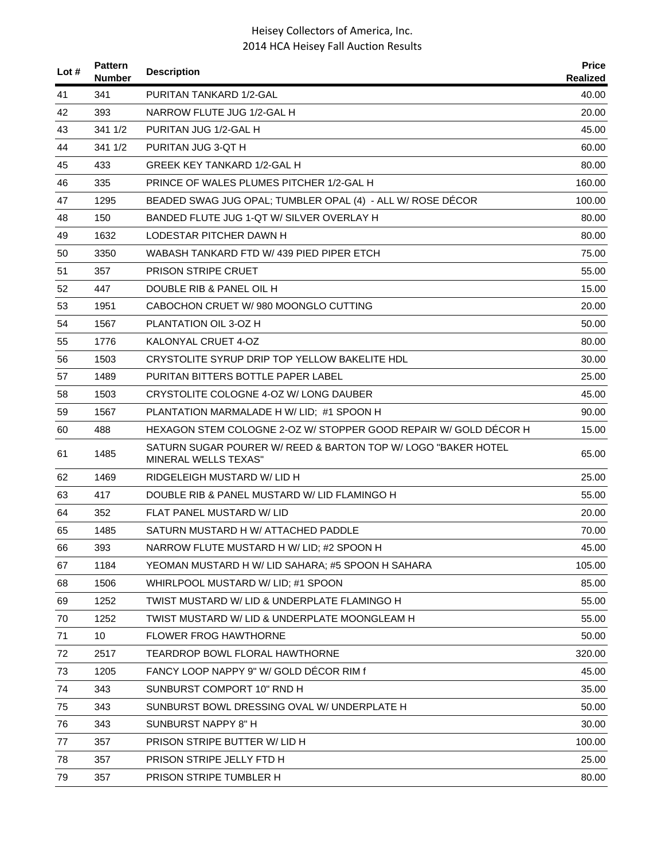| Lot $#$ | <b>Pattern</b><br><b>Number</b> | <b>Description</b>                                                                           | <b>Price</b><br>Realized |
|---------|---------------------------------|----------------------------------------------------------------------------------------------|--------------------------|
| 41      | 341                             | PURITAN TANKARD 1/2-GAL                                                                      | 40.00                    |
| 42      | 393                             | NARROW FLUTE JUG 1/2-GAL H                                                                   | 20.00                    |
| 43      | 341 1/2                         | PURITAN JUG 1/2-GAL H                                                                        | 45.00                    |
| 44      | 341 1/2                         | PURITAN JUG 3-QT H                                                                           | 60.00                    |
| 45      | 433                             | GREEK KEY TANKARD 1/2-GAL H                                                                  | 80.00                    |
| 46      | 335                             | PRINCE OF WALES PLUMES PITCHER 1/2-GAL H                                                     | 160.00                   |
| 47      | 1295                            | BEADED SWAG JUG OPAL; TUMBLER OPAL (4) - ALL W/ ROSE DÉCOR                                   | 100.00                   |
| 48      | 150                             | BANDED FLUTE JUG 1-QT W/ SILVER OVERLAY H                                                    | 80.00                    |
| 49      | 1632                            | LODESTAR PITCHER DAWN H                                                                      | 80.00                    |
| 50      | 3350                            | WABASH TANKARD FTD W/ 439 PIED PIPER ETCH                                                    | 75.00                    |
| 51      | 357                             | <b>PRISON STRIPE CRUET</b>                                                                   | 55.00                    |
| 52      | 447                             | DOUBLE RIB & PANEL OIL H                                                                     | 15.00                    |
| 53      | 1951                            | CABOCHON CRUET W/980 MOONGLO CUTTING                                                         | 20.00                    |
| 54      | 1567                            | PLANTATION OIL 3-OZ H                                                                        | 50.00                    |
| 55      | 1776                            | KALONYAL CRUET 4-OZ                                                                          | 80.00                    |
| 56      | 1503                            | CRYSTOLITE SYRUP DRIP TOP YELLOW BAKELITE HDL                                                | 30.00                    |
| 57      | 1489                            | PURITAN BITTERS BOTTLE PAPER LABEL                                                           | 25.00                    |
| 58      | 1503                            | CRYSTOLITE COLOGNE 4-OZ W/ LONG DAUBER                                                       | 45.00                    |
| 59      | 1567                            | PLANTATION MARMALADE H W/ LID; #1 SPOON H                                                    | 90.00                    |
| 60      | 488                             | HEXAGON STEM COLOGNE 2-OZ W/ STOPPER GOOD REPAIR W/ GOLD DÉCOR H                             | 15.00                    |
| 61      | 1485                            | SATURN SUGAR POURER W/ REED & BARTON TOP W/ LOGO "BAKER HOTEL<br><b>MINERAL WELLS TEXAS"</b> | 65.00                    |
| 62      | 1469                            | RIDGELEIGH MUSTARD W/ LID H                                                                  | 25.00                    |
| 63      | 417                             | DOUBLE RIB & PANEL MUSTARD W/ LID FLAMINGO H                                                 | 55.00                    |
| 64      | 352                             | FLAT PANEL MUSTARD W/ LID                                                                    | 20.00                    |
| 65      | 1485                            | SATURN MUSTARD H W/ ATTACHED PADDLE                                                          | 70.00                    |
| 66      | 393                             | NARROW FLUTE MUSTARD H W/ LID; #2 SPOON H                                                    | 45.00                    |
| 67      | 1184                            | YEOMAN MUSTARD H W/ LID SAHARA; #5 SPOON H SAHARA                                            | 105.00                   |
| 68      | 1506                            | WHIRLPOOL MUSTARD W/ LID; #1 SPOON                                                           | 85.00                    |
| 69      | 1252                            | TWIST MUSTARD W/ LID & UNDERPLATE FLAMINGO H                                                 | 55.00                    |
| 70      | 1252                            | TWIST MUSTARD W/ LID & UNDERPLATE MOONGLEAM H                                                | 55.00                    |
| 71      | 10                              | FLOWER FROG HAWTHORNE                                                                        | 50.00                    |
| 72      | 2517                            | <b>TEARDROP BOWL FLORAL HAWTHORNE</b>                                                        | 320.00                   |
| 73      | 1205                            | FANCY LOOP NAPPY 9" W/ GOLD DECOR RIM f                                                      | 45.00                    |
| 74      | 343                             | SUNBURST COMPORT 10" RND H                                                                   | 35.00                    |
| 75      | 343                             | SUNBURST BOWL DRESSING OVAL W/ UNDERPLATE H                                                  | 50.00                    |
| 76      | 343                             | SUNBURST NAPPY 8" H                                                                          | 30.00                    |
| 77      | 357                             | PRISON STRIPE BUTTER W/ LID H                                                                | 100.00                   |
| 78      | 357                             | PRISON STRIPE JELLY FTD H                                                                    | 25.00                    |
| 79      | 357                             | PRISON STRIPE TUMBLER H                                                                      | 80.00                    |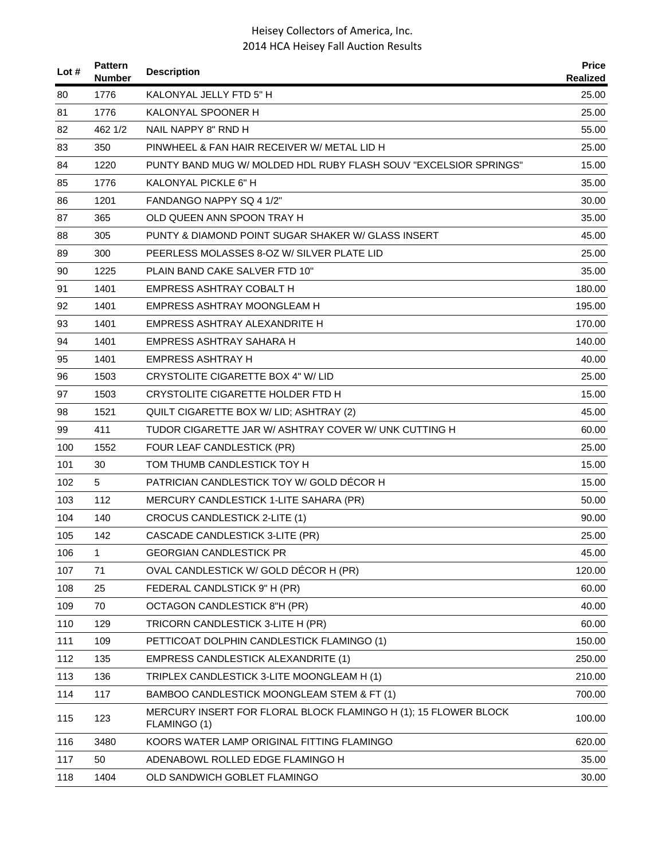| Lot $#$ | <b>Pattern</b><br><b>Number</b> | <b>Description</b>                                                              | <b>Price</b><br><b>Realized</b> |
|---------|---------------------------------|---------------------------------------------------------------------------------|---------------------------------|
| 80      | 1776                            | KALONYAL JELLY FTD 5" H                                                         | 25.00                           |
| 81      | 1776                            | KALONYAL SPOONER H                                                              | 25.00                           |
| 82      | 462 1/2                         | NAIL NAPPY 8" RND H                                                             | 55.00                           |
| 83      | 350                             | PINWHEEL & FAN HAIR RECEIVER W/ METAL LID H                                     | 25.00                           |
| 84      | 1220                            | PUNTY BAND MUG W/ MOLDED HDL RUBY FLASH SOUV "EXCELSIOR SPRINGS"                | 15.00                           |
| 85      | 1776                            | KALONYAL PICKLE 6" H                                                            | 35.00                           |
| 86      | 1201                            | FANDANGO NAPPY SQ 4 1/2"                                                        | 30.00                           |
| 87      | 365                             | OLD QUEEN ANN SPOON TRAY H                                                      | 35.00                           |
| 88      | 305                             | PUNTY & DIAMOND POINT SUGAR SHAKER W/ GLASS INSERT                              | 45.00                           |
| 89      | 300                             | PEERLESS MOLASSES 8-OZ W/ SILVER PLATE LID                                      | 25.00                           |
| 90      | 1225                            | PLAIN BAND CAKE SALVER FTD 10"                                                  | 35.00                           |
| 91      | 1401                            | <b>EMPRESS ASHTRAY COBALT H</b>                                                 | 180.00                          |
| 92      | 1401                            | EMPRESS ASHTRAY MOONGLEAM H                                                     | 195.00                          |
| 93      | 1401                            | EMPRESS ASHTRAY ALEXANDRITE H                                                   | 170.00                          |
| 94      | 1401                            | EMPRESS ASHTRAY SAHARA H                                                        | 140.00                          |
| 95      | 1401                            | EMPRESS ASHTRAY H                                                               | 40.00                           |
| 96      | 1503                            | CRYSTOLITE CIGARETTE BOX 4" W/ LID                                              | 25.00                           |
| 97      | 1503                            | CRYSTOLITE CIGARETTE HOLDER FTD H                                               | 15.00                           |
| 98      | 1521                            | QUILT CIGARETTE BOX W/ LID; ASHTRAY (2)                                         | 45.00                           |
| 99      | 411                             | TUDOR CIGARETTE JAR W/ ASHTRAY COVER W/ UNK CUTTING H                           | 60.00                           |
| 100     | 1552                            | FOUR LEAF CANDLESTICK (PR)                                                      | 25.00                           |
| 101     | 30                              | TOM THUMB CANDLESTICK TOY H                                                     | 15.00                           |
| 102     | 5                               | PATRICIAN CANDLESTICK TOY W/ GOLD DÉCOR H                                       | 15.00                           |
| 103     | 112                             | MERCURY CANDLESTICK 1-LITE SAHARA (PR)                                          | 50.00                           |
| 104     | 140                             | <b>CROCUS CANDLESTICK 2-LITE (1)</b>                                            | 90.00                           |
| 105     | 142                             | CASCADE CANDLESTICK 3-LITE (PR)                                                 | 25.00                           |
| 106     | 1                               | <b>GEORGIAN CANDLESTICK PR</b>                                                  | 45.00                           |
| 107     | 71                              | OVAL CANDLESTICK W/ GOLD DÉCOR H (PR)                                           | 120.00                          |
| 108     | 25                              | FEDERAL CANDLSTICK 9" H (PR)                                                    | 60.00                           |
| 109     | 70                              | OCTAGON CANDLESTICK 8"H (PR)                                                    | 40.00                           |
| 110     | 129                             | TRICORN CANDLESTICK 3-LITE H (PR)                                               | 60.00                           |
| 111     | 109                             | PETTICOAT DOLPHIN CANDLESTICK FLAMINGO (1)                                      | 150.00                          |
| 112     | 135                             | <b>EMPRESS CANDLESTICK ALEXANDRITE (1)</b>                                      | 250.00                          |
| 113     | 136                             | TRIPLEX CANDLESTICK 3-LITE MOONGLEAM H (1)                                      | 210.00                          |
| 114     | 117                             | BAMBOO CANDLESTICK MOONGLEAM STEM & FT (1)                                      | 700.00                          |
| 115     | 123                             | MERCURY INSERT FOR FLORAL BLOCK FLAMINGO H (1); 15 FLOWER BLOCK<br>FLAMINGO (1) | 100.00                          |
| 116     | 3480                            | KOORS WATER LAMP ORIGINAL FITTING FLAMINGO                                      | 620.00                          |
| 117     | 50                              | ADENABOWL ROLLED EDGE FLAMINGO H                                                | 35.00                           |
| 118     | 1404                            | OLD SANDWICH GOBLET FLAMINGO                                                    | 30.00                           |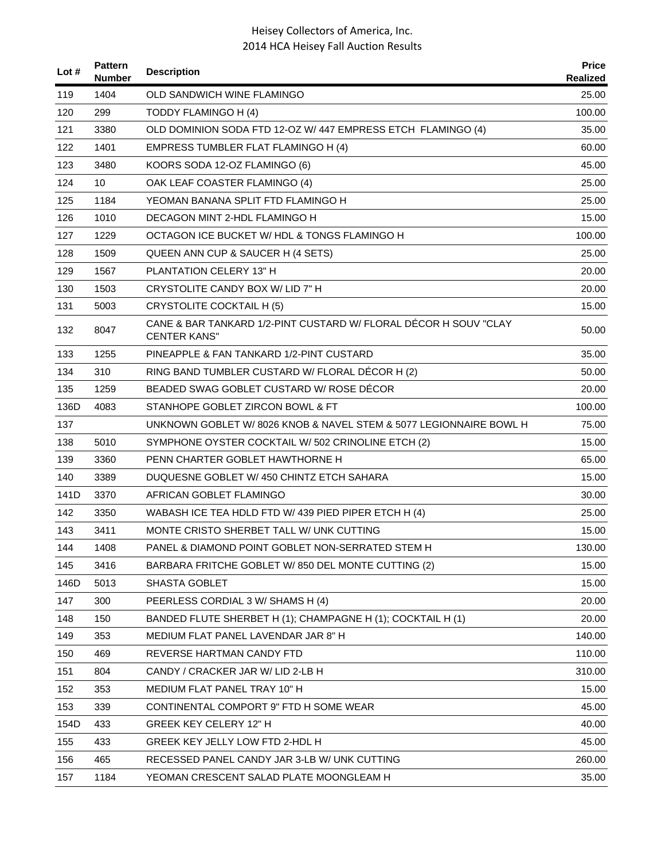| Lot # | <b>Pattern</b><br><b>Number</b> | <b>Description</b>                                                                      | <b>Price</b><br>Realized |
|-------|---------------------------------|-----------------------------------------------------------------------------------------|--------------------------|
| 119   | 1404                            | OLD SANDWICH WINE FLAMINGO                                                              | 25.00                    |
| 120   | 299                             | TODDY FLAMINGO H (4)                                                                    | 100.00                   |
| 121   | 3380                            | OLD DOMINION SODA FTD 12-OZ W/ 447 EMPRESS ETCH FLAMINGO (4)                            | 35.00                    |
| 122   | 1401                            | EMPRESS TUMBLER FLAT FLAMINGO H (4)                                                     | 60.00                    |
| 123   | 3480                            | KOORS SODA 12-OZ FLAMINGO (6)                                                           | 45.00                    |
| 124   | 10                              | OAK LEAF COASTER FLAMINGO (4)                                                           | 25.00                    |
| 125   | 1184                            | YEOMAN BANANA SPLIT FTD FLAMINGO H                                                      | 25.00                    |
| 126   | 1010                            | DECAGON MINT 2-HDL FLAMINGO H                                                           | 15.00                    |
| 127   | 1229                            | OCTAGON ICE BUCKET W/ HDL & TONGS FLAMINGO H                                            | 100.00                   |
| 128   | 1509                            | QUEEN ANN CUP & SAUCER H (4 SETS)                                                       | 25.00                    |
| 129   | 1567                            | <b>PLANTATION CELERY 13" H</b>                                                          | 20.00                    |
| 130   | 1503                            | CRYSTOLITE CANDY BOX W/ LID 7" H                                                        | 20.00                    |
| 131   | 5003                            | <b>CRYSTOLITE COCKTAIL H (5)</b>                                                        | 15.00                    |
| 132   | 8047                            | CANE & BAR TANKARD 1/2-PINT CUSTARD W/ FLORAL DECOR H SOUV "CLAY<br><b>CENTER KANS"</b> | 50.00                    |
| 133   | 1255                            | PINEAPPLE & FAN TANKARD 1/2-PINT CUSTARD                                                | 35.00                    |
| 134   | 310                             | RING BAND TUMBLER CUSTARD W/ FLORAL DÉCOR H (2)                                         | 50.00                    |
| 135   | 1259                            | BEADED SWAG GOBLET CUSTARD W/ ROSE DÉCOR                                                | 20.00                    |
| 136D  | 4083                            | STANHOPE GOBLET ZIRCON BOWL & FT                                                        | 100.00                   |
| 137   |                                 | UNKNOWN GOBLET W/8026 KNOB & NAVEL STEM & 5077 LEGIONNAIRE BOWL H                       | 75.00                    |
| 138   | 5010                            | SYMPHONE OYSTER COCKTAIL W/502 CRINOLINE ETCH (2)                                       | 15.00                    |
| 139   | 3360                            | PENN CHARTER GOBLET HAWTHORNE H                                                         | 65.00                    |
| 140   | 3389                            | DUQUESNE GOBLET W/ 450 CHINTZ ETCH SAHARA                                               | 15.00                    |
| 141D  | 3370                            | AFRICAN GOBLET FLAMINGO                                                                 | 30.00                    |
| 142   | 3350                            | WABASH ICE TEA HDLD FTD W/ 439 PIED PIPER ETCH H (4)                                    | 25.00                    |
| 143   | 3411                            | MONTE CRISTO SHERBET TALL W/ UNK CUTTING                                                | 15.00                    |
| 144   | 1408                            | PANEL & DIAMOND POINT GOBLET NON-SERRATED STEM H                                        | 130.00                   |
| 145   | 3416                            | BARBARA FRITCHE GOBLET W/850 DEL MONTE CUTTING (2)                                      | 15.00                    |
| 146D  | 5013                            | <b>SHASTA GOBLET</b>                                                                    | 15.00                    |
| 147   | 300                             | PEERLESS CORDIAL 3 W/ SHAMS H (4)                                                       | 20.00                    |
| 148   | 150                             | BANDED FLUTE SHERBET H (1); CHAMPAGNE H (1); COCKTAIL H (1)                             | 20.00                    |
| 149   | 353                             | MEDIUM FLAT PANEL LAVENDAR JAR 8" H                                                     | 140.00                   |
| 150   | 469                             | REVERSE HARTMAN CANDY FTD                                                               | 110.00                   |
| 151   | 804                             | CANDY / CRACKER JAR W/ LID 2-LB H                                                       | 310.00                   |
| 152   | 353                             | MEDIUM FLAT PANEL TRAY 10" H                                                            | 15.00                    |
| 153   | 339                             | CONTINENTAL COMPORT 9" FTD H SOME WEAR                                                  | 45.00                    |
| 154D  | 433                             | <b>GREEK KEY CELERY 12" H</b>                                                           | 40.00                    |
| 155   | 433                             | GREEK KEY JELLY LOW FTD 2-HDL H                                                         | 45.00                    |
| 156   | 465                             | RECESSED PANEL CANDY JAR 3-LB W/ UNK CUTTING                                            | 260.00                   |
| 157   | 1184                            | YEOMAN CRESCENT SALAD PLATE MOONGLEAM H                                                 | 35.00                    |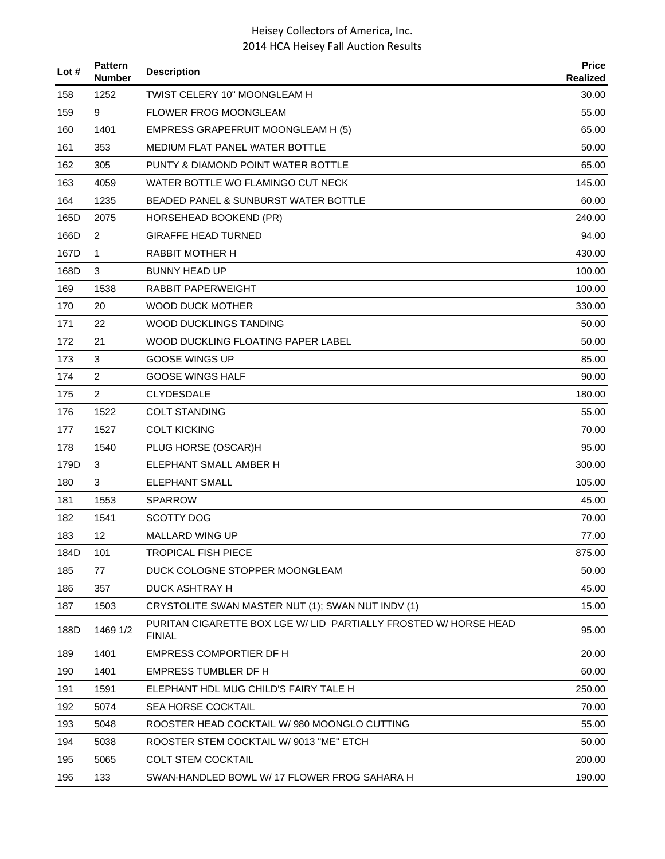| Lot $#$ | <b>Pattern</b><br><b>Number</b> | <b>Description</b>                                                                | <b>Price</b><br><b>Realized</b> |
|---------|---------------------------------|-----------------------------------------------------------------------------------|---------------------------------|
| 158     | 1252                            | TWIST CELERY 10" MOONGLEAM H                                                      | 30.00                           |
| 159     | 9                               | <b>FLOWER FROG MOONGLEAM</b>                                                      | 55.00                           |
| 160     | 1401                            | EMPRESS GRAPEFRUIT MOONGLEAM H (5)                                                | 65.00                           |
| 161     | 353                             | MEDIUM FLAT PANEL WATER BOTTLE                                                    | 50.00                           |
| 162     | 305                             | PUNTY & DIAMOND POINT WATER BOTTLE                                                | 65.00                           |
| 163     | 4059                            | WATER BOTTLE WO FLAMINGO CUT NECK                                                 | 145.00                          |
| 164     | 1235                            | <b>BEADED PANEL &amp; SUNBURST WATER BOTTLE</b>                                   | 60.00                           |
| 165D    | 2075                            | HORSEHEAD BOOKEND (PR)                                                            | 240.00                          |
| 166D    | $\overline{c}$                  | <b>GIRAFFE HEAD TURNED</b>                                                        | 94.00                           |
| 167D    | $\mathbf{1}$                    | <b>RABBIT MOTHER H</b>                                                            | 430.00                          |
| 168D    | 3                               | <b>BUNNY HEAD UP</b>                                                              | 100.00                          |
| 169     | 1538                            | RABBIT PAPERWEIGHT                                                                | 100.00                          |
| 170     | 20                              | <b>WOOD DUCK MOTHER</b>                                                           | 330.00                          |
| 171     | 22                              | <b>WOOD DUCKLINGS TANDING</b>                                                     | 50.00                           |
| 172     | 21                              | WOOD DUCKLING FLOATING PAPER LABEL                                                | 50.00                           |
| 173     | 3                               | <b>GOOSE WINGS UP</b>                                                             | 85.00                           |
| 174     | 2                               | <b>GOOSE WINGS HALF</b>                                                           | 90.00                           |
| 175     | 2                               | <b>CLYDESDALE</b>                                                                 | 180.00                          |
| 176     | 1522                            | <b>COLT STANDING</b>                                                              | 55.00                           |
| 177     | 1527                            | <b>COLT KICKING</b>                                                               | 70.00                           |
| 178     | 1540                            | PLUG HORSE (OSCAR)H                                                               | 95.00                           |
| 179D    | 3                               | ELEPHANT SMALL AMBER H                                                            | 300.00                          |
| 180     | 3                               | <b>ELEPHANT SMALL</b>                                                             | 105.00                          |
| 181     | 1553                            | <b>SPARROW</b>                                                                    | 45.00                           |
| 182     | 1541                            | <b>SCOTTY DOG</b>                                                                 | 70.00                           |
| 183     | 12                              | MALLARD WING UP                                                                   | 77.00                           |
| 184D    | 101                             | <b>TROPICAL FISH PIECE</b>                                                        | 875.00                          |
| 185     | 77                              | DUCK COLOGNE STOPPER MOONGLEAM                                                    | 50.00                           |
| 186     | 357                             | DUCK ASHTRAY H                                                                    | 45.00                           |
| 187     | 1503                            | CRYSTOLITE SWAN MASTER NUT (1); SWAN NUT INDV (1)                                 | 15.00                           |
| 188D    | 1469 1/2                        | PURITAN CIGARETTE BOX LGE W/ LID PARTIALLY FROSTED W/ HORSE HEAD<br><b>FINIAL</b> | 95.00                           |
| 189     | 1401                            | <b>EMPRESS COMPORTIER DF H</b>                                                    | 20.00                           |
| 190     | 1401                            | <b>EMPRESS TUMBLER DF H</b>                                                       | 60.00                           |
| 191     | 1591                            | ELEPHANT HDL MUG CHILD'S FAIRY TALE H                                             | 250.00                          |
| 192     | 5074                            | <b>SEA HORSE COCKTAIL</b>                                                         | 70.00                           |
| 193     | 5048                            | ROOSTER HEAD COCKTAIL W/980 MOONGLO CUTTING                                       | 55.00                           |
| 194     | 5038                            | ROOSTER STEM COCKTAIL W/ 9013 "ME" ETCH                                           | 50.00                           |
| 195     | 5065                            | <b>COLT STEM COCKTAIL</b>                                                         | 200.00                          |
| 196     | 133                             | SWAN-HANDLED BOWL W/ 17 FLOWER FROG SAHARA H                                      | 190.00                          |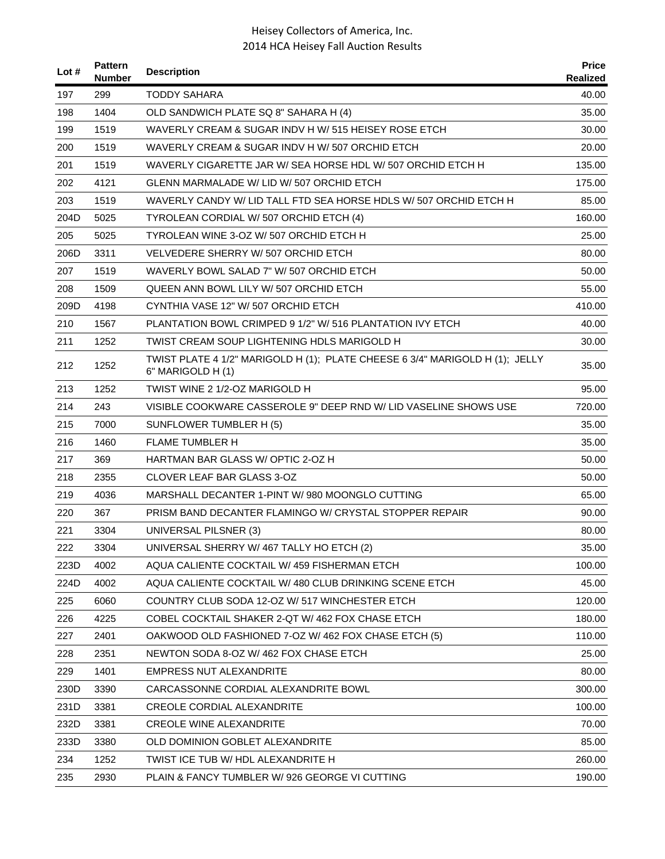| Lot # | <b>Pattern</b><br><b>Number</b> | <b>Description</b>                                                                                | <b>Price</b><br><b>Realized</b> |
|-------|---------------------------------|---------------------------------------------------------------------------------------------------|---------------------------------|
| 197   | 299                             | <b>TODDY SAHARA</b>                                                                               | 40.00                           |
| 198   | 1404                            | OLD SANDWICH PLATE SQ 8" SAHARA H (4)                                                             | 35.00                           |
| 199   | 1519                            | WAVERLY CREAM & SUGAR INDV H W/ 515 HEISEY ROSE ETCH                                              | 30.00                           |
| 200   | 1519                            | WAVERLY CREAM & SUGAR INDV H W/ 507 ORCHID ETCH                                                   | 20.00                           |
| 201   | 1519                            | WAVERLY CIGARETTE JAR W/ SEA HORSE HDL W/ 507 ORCHID ETCH H                                       | 135.00                          |
| 202   | 4121                            | GLENN MARMALADE W/ LID W/ 507 ORCHID ETCH                                                         | 175.00                          |
| 203   | 1519                            | WAVERLY CANDY W/ LID TALL FTD SEA HORSE HDLS W/ 507 ORCHID ETCH H                                 | 85.00                           |
| 204D  | 5025                            | TYROLEAN CORDIAL W/ 507 ORCHID ETCH (4)                                                           | 160.00                          |
| 205   | 5025                            | TYROLEAN WINE 3-OZ W/ 507 ORCHID ETCH H                                                           | 25.00                           |
| 206D  | 3311                            | VELVEDERE SHERRY W/ 507 ORCHID ETCH                                                               | 80.00                           |
| 207   | 1519                            | WAVERLY BOWL SALAD 7" W/ 507 ORCHID ETCH                                                          | 50.00                           |
| 208   | 1509                            | QUEEN ANN BOWL LILY W/507 ORCHID ETCH                                                             | 55.00                           |
| 209D  | 4198                            | CYNTHIA VASE 12" W/ 507 ORCHID ETCH                                                               | 410.00                          |
| 210   | 1567                            | PLANTATION BOWL CRIMPED 9 1/2" W/ 516 PLANTATION IVY ETCH                                         | 40.00                           |
| 211   | 1252                            | TWIST CREAM SOUP LIGHTENING HDLS MARIGOLD H                                                       | 30.00                           |
| 212   | 1252                            | TWIST PLATE 4 1/2" MARIGOLD H (1); PLATE CHEESE 6 3/4" MARIGOLD H (1); JELLY<br>6" MARIGOLD H (1) | 35.00                           |
| 213   | 1252                            | TWIST WINE 2 1/2-OZ MARIGOLD H                                                                    | 95.00                           |
| 214   | 243                             | VISIBLE COOKWARE CASSEROLE 9" DEEP RND W/ LID VASELINE SHOWS USE                                  | 720.00                          |
| 215   | 7000                            | SUNFLOWER TUMBLER H(5)                                                                            | 35.00                           |
| 216   | 1460                            | <b>FLAME TUMBLER H</b>                                                                            | 35.00                           |
| 217   | 369                             | HARTMAN BAR GLASS W/ OPTIC 2-OZ H                                                                 | 50.00                           |
| 218   | 2355                            | <b>CLOVER LEAF BAR GLASS 3-OZ</b>                                                                 | 50.00                           |
| 219   | 4036                            | MARSHALL DECANTER 1-PINT W/980 MOONGLO CUTTING                                                    | 65.00                           |
| 220   | 367                             | PRISM BAND DECANTER FLAMINGO W/ CRYSTAL STOPPER REPAIR                                            | 90.00                           |
| 221   | 3304                            | UNIVERSAL PILSNER (3)                                                                             | 80.00                           |
| 222   | 3304                            | UNIVERSAL SHERRY W/ 467 TALLY HO ETCH (2)                                                         | 35.00                           |
| 223D  | 4002                            | AQUA CALIENTE COCKTAIL W/459 FISHERMAN ETCH                                                       | 100.00                          |
| 224D  | 4002                            | AQUA CALIENTE COCKTAIL W/ 480 CLUB DRINKING SCENE ETCH                                            | 45.00                           |
| 225   | 6060                            | COUNTRY CLUB SODA 12-OZ W/ 517 WINCHESTER ETCH                                                    | 120.00                          |
| 226   | 4225                            | COBEL COCKTAIL SHAKER 2-QT W/ 462 FOX CHASE ETCH                                                  | 180.00                          |
| 227   | 2401                            | OAKWOOD OLD FASHIONED 7-OZ W/ 462 FOX CHASE ETCH (5)                                              | 110.00                          |
| 228   | 2351                            | NEWTON SODA 8-OZ W/462 FOX CHASE ETCH                                                             | 25.00                           |
| 229   | 1401                            | <b>EMPRESS NUT ALEXANDRITE</b>                                                                    | 80.00                           |
| 230D  | 3390                            | CARCASSONNE CORDIAL ALEXANDRITE BOWL                                                              | 300.00                          |
| 231D  | 3381                            | <b>CREOLE CORDIAL ALEXANDRITE</b>                                                                 | 100.00                          |
| 232D  | 3381                            | <b>CREOLE WINE ALEXANDRITE</b>                                                                    | 70.00                           |
| 233D  | 3380                            | OLD DOMINION GOBLET ALEXANDRITE                                                                   | 85.00                           |
| 234   | 1252                            | TWIST ICE TUB W/ HDL ALEXANDRITE H                                                                | 260.00                          |
| 235   | 2930                            | PLAIN & FANCY TUMBLER W/ 926 GEORGE VI CUTTING                                                    | 190.00                          |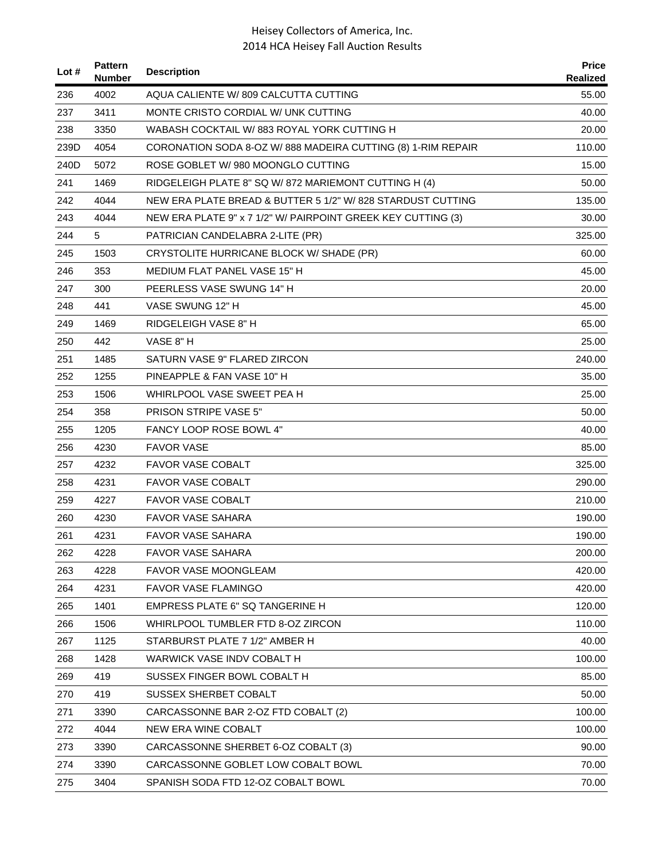| Lot $#$ | <b>Pattern</b><br><b>Number</b> | <b>Description</b>                                           | <b>Price</b><br>Realized |
|---------|---------------------------------|--------------------------------------------------------------|--------------------------|
| 236     | 4002                            | AQUA CALIENTE W/809 CALCUTTA CUTTING                         | 55.00                    |
| 237     | 3411                            | MONTE CRISTO CORDIAL W/ UNK CUTTING                          | 40.00                    |
| 238     | 3350                            | WABASH COCKTAIL W/883 ROYAL YORK CUTTING H                   | 20.00                    |
| 239D    | 4054                            | CORONATION SODA 8-OZ W/888 MADEIRA CUTTING (8) 1-RIM REPAIR  | 110.00                   |
| 240D    | 5072                            | ROSE GOBLET W/980 MOONGLO CUTTING                            | 15.00                    |
| 241     | 1469                            | RIDGELEIGH PLATE 8" SQ W/ 872 MARIEMONT CUTTING H (4)        | 50.00                    |
| 242     | 4044                            | NEW ERA PLATE BREAD & BUTTER 5 1/2" W/828 STARDUST CUTTING   | 135.00                   |
| 243     | 4044                            | NEW ERA PLATE 9" x 7 1/2" W/ PAIRPOINT GREEK KEY CUTTING (3) | 30.00                    |
| 244     | 5                               | PATRICIAN CANDELABRA 2-LITE (PR)                             | 325.00                   |
| 245     | 1503                            | CRYSTOLITE HURRICANE BLOCK W/ SHADE (PR)                     | 60.00                    |
| 246     | 353                             | MEDIUM FLAT PANEL VASE 15" H                                 | 45.00                    |
| 247     | 300                             | PEERLESS VASE SWUNG 14" H                                    | 20.00                    |
| 248     | 441                             | VASE SWUNG 12" H                                             | 45.00                    |
| 249     | 1469                            | RIDGELEIGH VASE 8" H                                         | 65.00                    |
| 250     | 442                             | VASE 8" H                                                    | 25.00                    |
| 251     | 1485                            | SATURN VASE 9" FLARED ZIRCON                                 | 240.00                   |
| 252     | 1255                            | PINEAPPLE & FAN VASE 10" H                                   | 35.00                    |
| 253     | 1506                            | WHIRLPOOL VASE SWEET PEA H                                   | 25.00                    |
| 254     | 358                             | <b>PRISON STRIPE VASE 5"</b>                                 | 50.00                    |
| 255     | 1205                            | FANCY LOOP ROSE BOWL 4"                                      | 40.00                    |
| 256     | 4230                            | <b>FAVOR VASE</b>                                            | 85.00                    |
| 257     | 4232                            | <b>FAVOR VASE COBALT</b>                                     | 325.00                   |
| 258     | 4231                            | <b>FAVOR VASE COBALT</b>                                     | 290.00                   |
| 259     | 4227                            | <b>FAVOR VASE COBALT</b>                                     | 210.00                   |
| 260     | 4230                            | FAVOR VASE SAHARA                                            | 190.00                   |
| 261     | 4231                            | <b>FAVOR VASE SAHARA</b>                                     | 190.00                   |
| 262     | 4228                            | <b>FAVOR VASE SAHARA</b>                                     | 200.00                   |
| 263     | 4228                            | FAVOR VASE MOONGLEAM                                         | 420.00                   |
| 264     | 4231                            | <b>FAVOR VASE FLAMINGO</b>                                   | 420.00                   |
| 265     | 1401                            | <b>EMPRESS PLATE 6" SQ TANGERINE H</b>                       | 120.00                   |
| 266     | 1506                            | WHIRLPOOL TUMBLER FTD 8-OZ ZIRCON                            | 110.00                   |
| 267     | 1125                            | STARBURST PLATE 7 1/2" AMBER H                               | 40.00                    |
| 268     | 1428                            | WARWICK VASE INDV COBALT H                                   | 100.00                   |
| 269     | 419                             | SUSSEX FINGER BOWL COBALT H                                  | 85.00                    |
| 270     | 419                             | SUSSEX SHERBET COBALT                                        | 50.00                    |
| 271     | 3390                            | CARCASSONNE BAR 2-OZ FTD COBALT (2)                          | 100.00                   |
| 272     | 4044                            | NEW ERA WINE COBALT                                          | 100.00                   |
| 273     | 3390                            | CARCASSONNE SHERBET 6-OZ COBALT (3)                          | 90.00                    |
| 274     | 3390                            | CARCASSONNE GOBLET LOW COBALT BOWL                           | 70.00                    |
| 275     | 3404                            | SPANISH SODA FTD 12-OZ COBALT BOWL                           | 70.00                    |